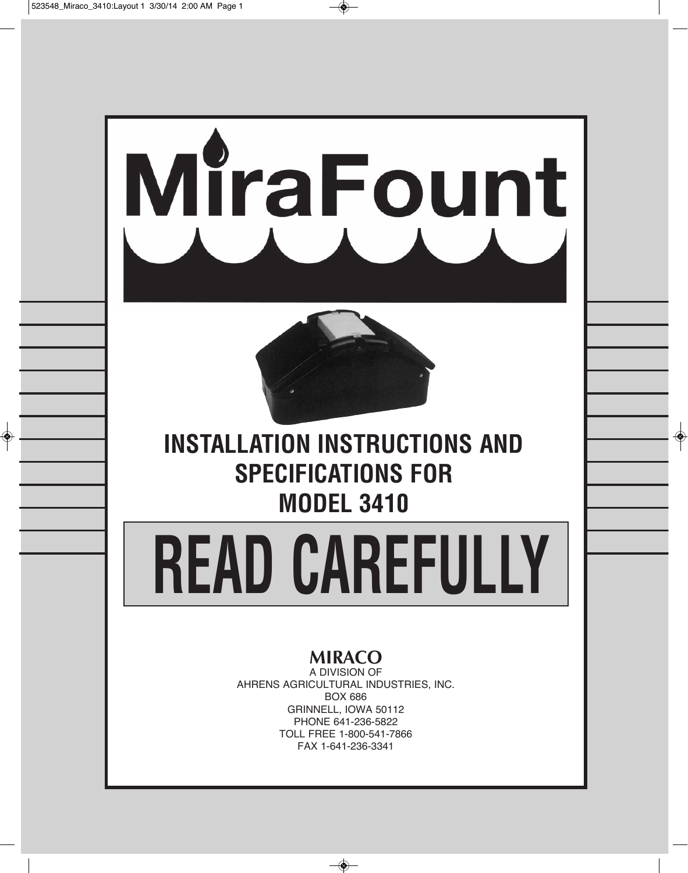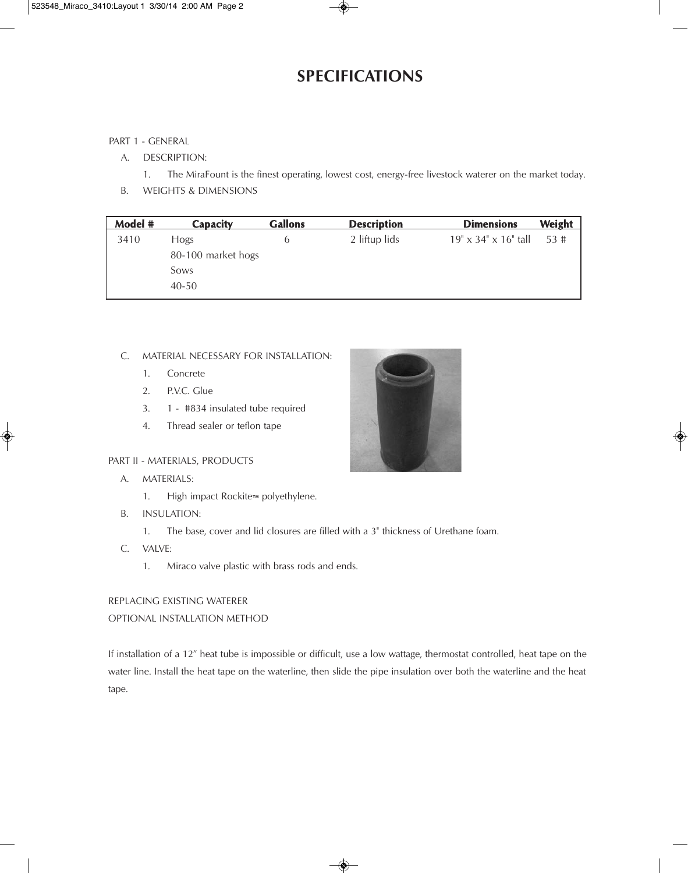### **SPECIFICATIONS**

#### PART 1 - GENERAL

- A. DESCRIPTION:
	- 1. The MiraFount is the finest operating, lowest cost, energy-free livestock waterer on the market today.
- B. WEIGHTS & DIMENSIONS

| $19" \times 34" \times 16"$ tall | 53# |
|----------------------------------|-----|
|                                  |     |
|                                  |     |
|                                  |     |
|                                  |     |

#### C. MATERIAL NECESSARY FOR INSTALLATION:

- 1. Concrete
- 2. P.V.C. Glue
- 3. 1 #834 insulated tube required
- 4. Thread sealer or teflon tape

#### PART II - MATERIALS, PRODUCTS

- A. MATERIALS:
	- 1. High impact Rockite™ polyethylene.
- B. INSULATION:
	- 1. The base, cover and lid closures are filled with a 3" thickness of Urethane foam.
- C. VALVE:
	- 1. Miraco valve plastic with brass rods and ends.

#### REPLACING EXISTING WATERER

#### OPTIONAL INSTALLATION METHOD

If installation of a 12" heat tube is impossible or difficult, use a low wattage, thermostat controlled, heat tape on the water line. Install the heat tape on the waterline, then slide the pipe insulation over both the waterline and the heat tape.

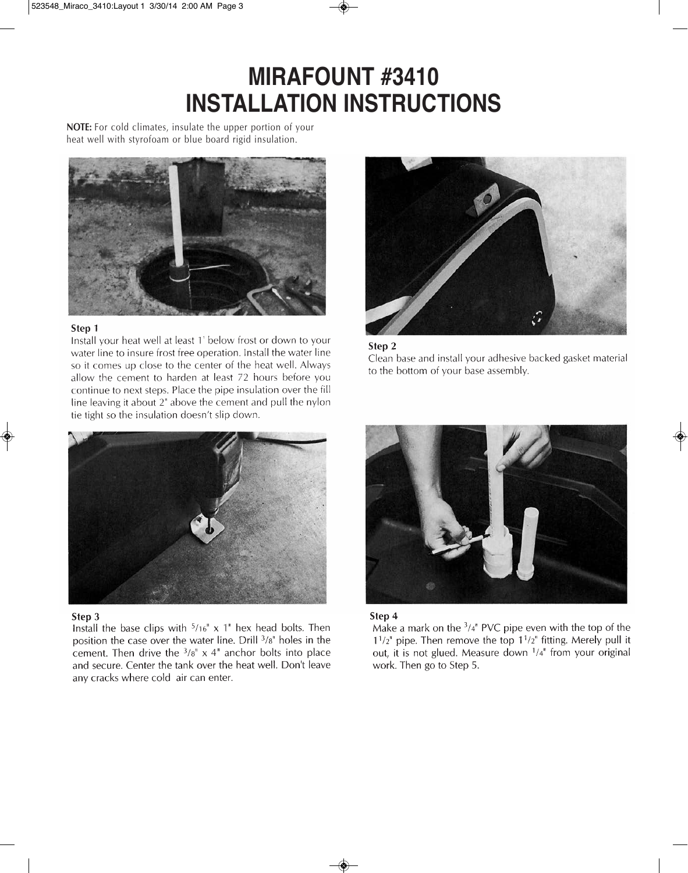# **Mirafount #3410 inStaLLation inStruCtionS**

**NOTE:** For cold climates, insulate the upper portion of your heat well with styrofoam or blue board rigid insulation.



#### Step 1

Install your heat well at least 1' below frost or down to your water line to insure frost free operation. Install the water line so it comes up close to the center of the heat well. Always allow the cement to harden at least 72 hours before you continue to next steps. Place the pipe insulation over the fill line leaving it about 2" above the cement and pull the nylon tie tight so the insulation doesn't slip down.







#### Step 3

Install the base clips with  $5/16$ " x 1" hex head bolts. Then position the case over the water line. Drill <sup>3</sup>/8" holes in the cement. Then drive the  $3/8$ "  $\times$  4" anchor bolts into place and secure. Center the tank over the heat well. Don't leave any cracks where cold air can enter.





Make a mark on the  $3/4$ <sup>"</sup> PVC pipe even with the top of the  $1^{1/2^{n}}$  pipe. Then remove the top  $1^{1/2^{n}}$  fitting. Merely pull it out, it is not glued. Measure down <sup>1</sup>/4" from your original work. Then go to Step 5.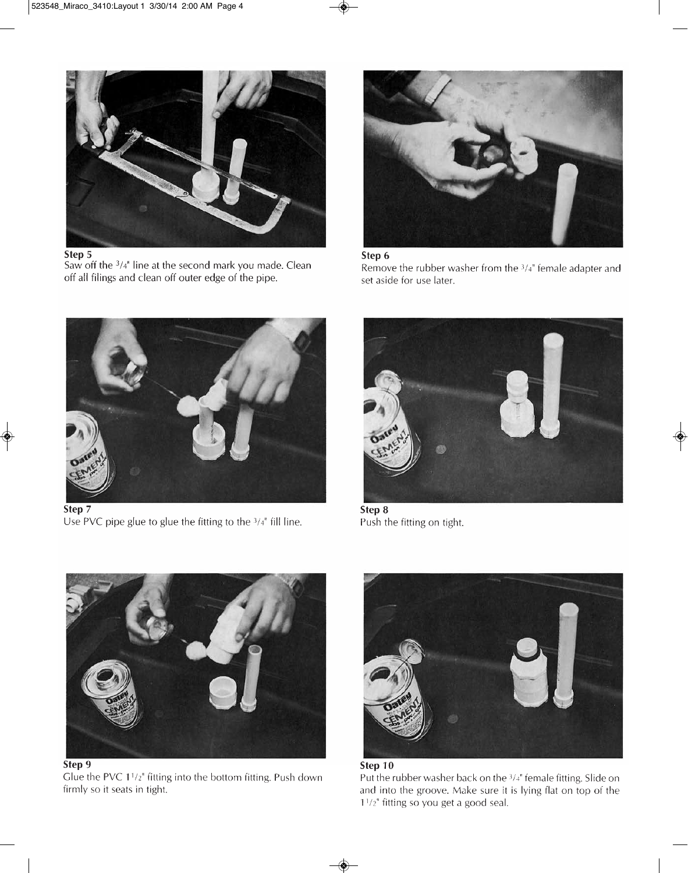

Step 5

Saw off the  $3/4$ " line at the second mark you made. Clean off all filings and clean off outer edge of the pipe.



#### Step 6

Remove the rubber washer from the  $3/4$ " female adapter and set aside for use later.



Step 7 Use PVC pipe glue to glue the fitting to the  $3/4$ <sup>"</sup> fill line.



Step 8 Push the fitting on tight.



Glue the PVC 1<sup>1</sup>/<sub>2</sub>" fitting into the bottom fitting. Push down firmly so it seats in tight.



Step 10 Put the rubber washer back on the <sup>3/4"</sup> female fitting. Slide on and into the groove. Make sure it is lying flat on top of the  $1^{1}/2$ " fitting so you get a good seal.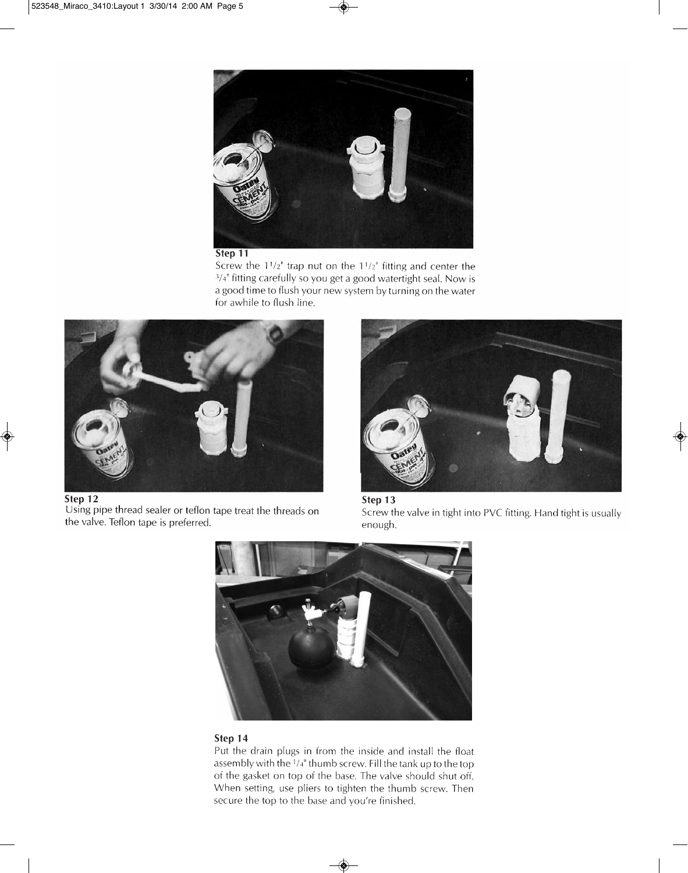

#### Step 11

Screw the  $1^{1}/2$ " trap nut on the  $1^{1}/2$ " fitting and center the 3/4" fitting carefully so you get a good watertight seal. Now is a good time to flush your new system by turning on the water for awhile to flush line.



Using pipe thread sealer or teflon tape treat the threads on the valve. Teflon tape is preferred.







#### Step 14

Put the drain plugs in from the inside and install the float assembly with the  $\frac{1}{4}$ " thumb screw. Fill the tank up to the top of the gasket on top of the base. The valve should shut off. When setting, use pliers to tighten the thumb screw. Then secure the top to the base and you're finished.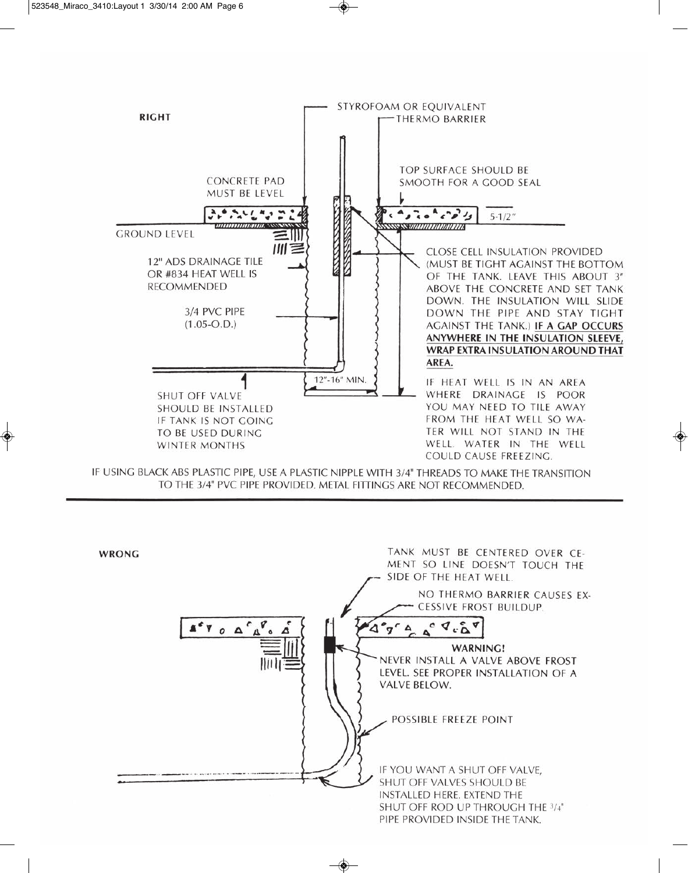

IF USING BLACK ABS PLASTIC PIPE, USE A PLASTIC NIPPLE WITH 3/4" THREADS TO MAKE THE TRANSITION TO THE 3/4" PVC PIPE PROVIDED. METAL FITTINGS ARE NOT RECOMMENDED.

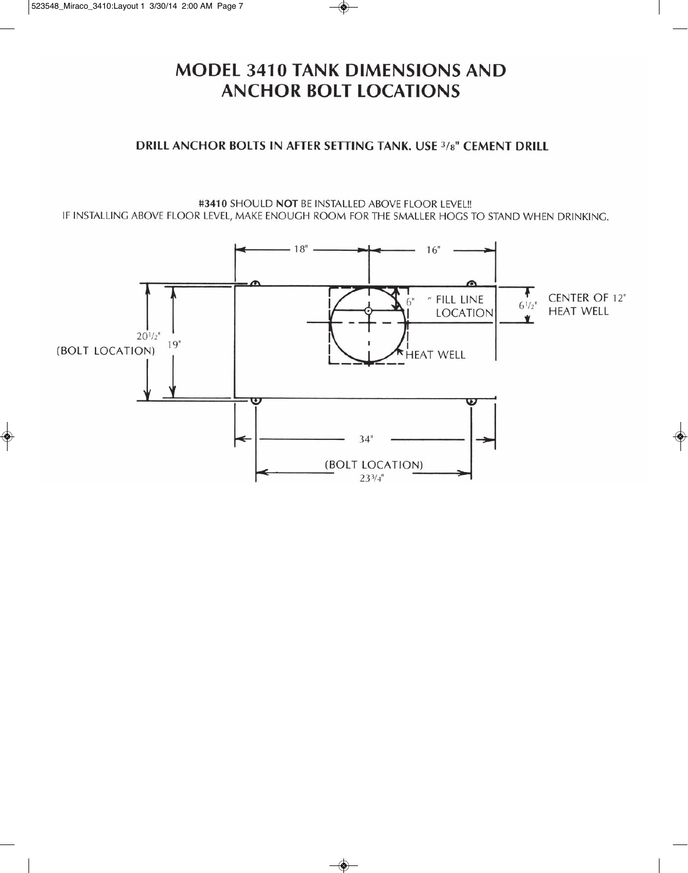### **MODEL 3410 TANK DIMENSIONS AND ANCHOR BOLT LOCATIONS**

### DRILL ANCHOR BOLTS IN AFTER SETTING TANK. USE 3/8" CEMENT DRILL

#3410 SHOULD NOT BE INSTALLED ABOVE FLOOR LEVEL !! IF INSTALLING ABOVE FLOOR LEVEL, MAKE ENOUGH ROOM FOR THE SMALLER HOGS TO STAND WHEN DRINKING.